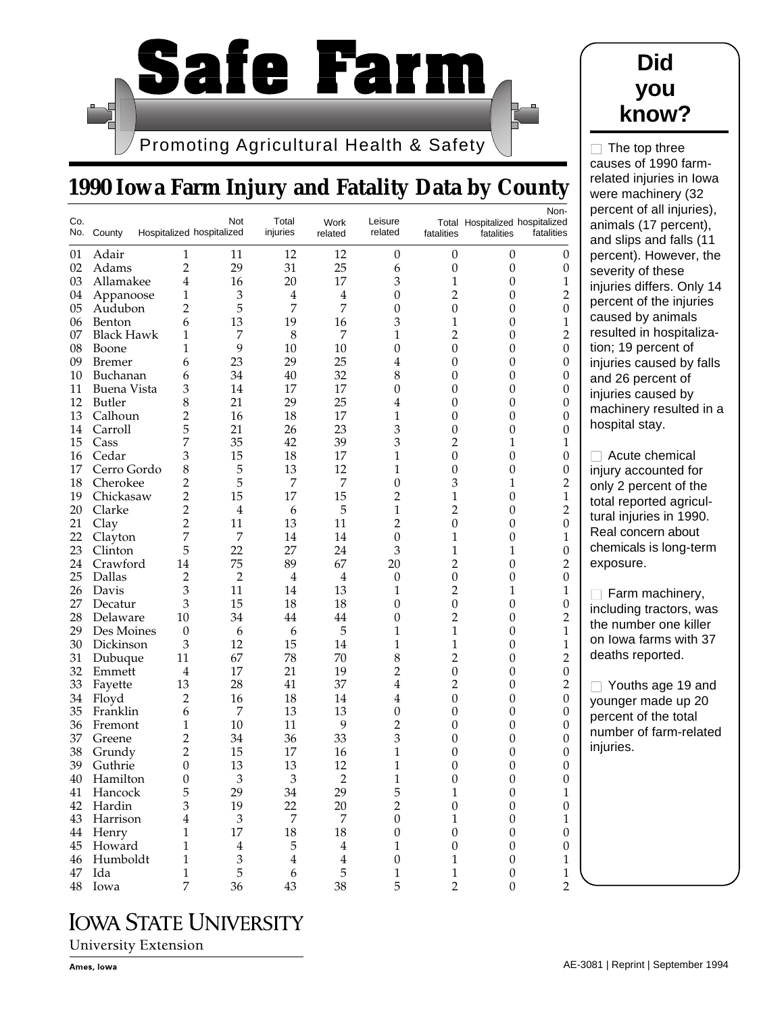

## **1990 Iowa Farm Injury and Fatality Data by County**

| Co. | No. County        | Hospitalized hospitalized | Not                         | Total<br>injuries | Work<br>related | Leisure<br>related | fatalities       | Total Hospitalized hospitalized<br>fatalities | Non-<br>fatalities |
|-----|-------------------|---------------------------|-----------------------------|-------------------|-----------------|--------------------|------------------|-----------------------------------------------|--------------------|
| 01  | Adair             | 1                         | 11                          | 12                | 12              | $\boldsymbol{0}$   | 0                | $\boldsymbol{0}$                              | $\boldsymbol{0}$   |
| 02  | Adams             | 2                         | 29                          | 31                | 25              | 6                  | $\boldsymbol{0}$ | $\boldsymbol{0}$                              | $\boldsymbol{0}$   |
| 03  | Allamakee         | 4                         | 16                          | 20                | 17              | 3                  | $\mathbf 1$      | 0                                             | 1                  |
| 04  | Appanoose         | 1                         | 3                           | 4                 | 4               | 0                  | $\overline{2}$   | 0                                             | 2                  |
| 05  | Audubon           | 2                         | 5                           | 7                 | 7               | $\overline{0}$     | $\mathbf{0}$     | 0                                             | $\boldsymbol{0}$   |
| 06  | Benton            | 6                         | 13                          | 19                | 16              | 3                  | 1                | $\boldsymbol{0}$                              | 1                  |
| 07  | <b>Black Hawk</b> | 1                         | 7                           | $\,8\,$           | 7               | $\mathbf{1}$       | $\overline{c}$   | 0                                             | $\overline{2}$     |
| 08  | Boone             | 1                         | 9                           | 10                | 10              | $\boldsymbol{0}$   | $\boldsymbol{0}$ | 0                                             | $\theta$           |
| 09  | <b>Bremer</b>     | 6                         | 23                          | 29                | 25              | 4                  | $\mathbf{0}$     | 0                                             | $\boldsymbol{0}$   |
| 10  | Buchanan          | 6                         | 34                          | 40                | 32              | 8                  | $\mathbf{0}$     | $\boldsymbol{0}$                              | $\boldsymbol{0}$   |
| 11  | Buena Vista       | 3                         | 14                          | 17                | 17              | $\boldsymbol{0}$   | 0                | 0                                             | $\boldsymbol{0}$   |
| 12  | Butler            | 8                         | 21                          | 29                | 25              | 4                  | 0                | 0                                             | $\boldsymbol{0}$   |
| 13  | Calhoun           | 2                         | 16                          | 18                | 17              | $\mathbf{1}$       | 0                | 0                                             | $\boldsymbol{0}$   |
| 14  | Carroll           | 5                         | 21                          | 26                | 23              | 3                  | 0                | 0                                             | $\boldsymbol{0}$   |
| 15  | Cass              | 7                         | 35                          | 42                | 39              | 3                  | $\overline{c}$   | 1                                             | 1                  |
| 16  | Cedar             | 3                         | 15                          | 18                | 17              | 1                  | $\boldsymbol{0}$ | $\boldsymbol{0}$                              | $\boldsymbol{0}$   |
| 17  | Cerro Gordo       | 8                         | 5                           | 13                | 12              | 1                  | $\mathbf{0}$     | 0                                             | $\boldsymbol{0}$   |
| 18  | Cherokee          | 2                         | 5                           | 7                 | 7               | $\boldsymbol{0}$   | 3                | 1                                             | 2                  |
| 19  | Chickasaw         | 2                         | 15                          | 17                | 15              | $\overline{2}$     | $\mathbf 1$      | 0                                             | $\mathbf{1}$       |
| 20  | Clarke            | 2                         | $\overline{4}$              | 6                 | 5               | $\mathbf 1$        | $\overline{2}$   | 0                                             | $\overline{2}$     |
| 21  | Clay              | 2                         | 11                          | 13                | 11              | $\overline{2}$     | $\mathbf{0}$     | 0                                             | $\boldsymbol{0}$   |
| 22  | Clayton           | 7                         | $\overline{7}$              | 14                | 14              | $\boldsymbol{0}$   | 1                | 0                                             | $\mathbf{1}$       |
| 23  | Clinton           | 5                         | 22                          | 27                | 24              | 3                  | $\mathbf 1$      | 1                                             | $\boldsymbol{0}$   |
| 24  | Crawford          | 14                        | 75                          | 89                | 67              | 20                 | $\overline{2}$   | 0                                             | 2                  |
| 25  | Dallas            | $\overline{c}$            | $\overline{2}$              | $\overline{4}$    | 4               | $\boldsymbol{0}$   | $\boldsymbol{0}$ | 0                                             | $\boldsymbol{0}$   |
| 26  | Davis             | 3                         | 11                          | 14                | 13              | 1                  | $\overline{c}$   | 1                                             | 1                  |
| 27  | Decatur           | 3                         | 15                          | 18                | 18              | 0                  | 0                | 0                                             | $\boldsymbol{0}$   |
| 28  | Delaware          | 10                        | 34                          | 44                | 44              | 0                  | $\overline{c}$   | 0                                             | $\overline{2}$     |
| 29  | Des Moines        | 0                         | 6                           | 6                 | 5               | 1                  | 1                | 0                                             | $\mathbf{1}$       |
| 30  | Dickinson         | 3                         | 12                          | 15                | 14              | $\mathbf 1$        | $\mathbf 1$      | 0                                             | $\mathbf{1}$       |
| 31  | Dubuque           | 11                        | 67                          | 78                | 70              | 8                  | $\overline{c}$   | 0                                             | $\overline{2}$     |
| 32  | Emmett            | 4                         | 17                          | 21                | 19              | $\overline{2}$     | $\boldsymbol{0}$ | 0                                             | $\boldsymbol{0}$   |
| 33  | Fayette           | 13                        | 28                          | 41                | 37              | $\overline{4}$     | $\overline{c}$   | 0                                             | 2                  |
| 34  | Floyd             | 2                         | 16                          | 18                | 14              | $\overline{4}$     | $\boldsymbol{0}$ | $\boldsymbol{0}$                              | $\boldsymbol{0}$   |
| 35  | Franklin          | 6                         | 7                           | 13                | 13              | $\boldsymbol{0}$   | 0                | 0                                             | $\boldsymbol{0}$   |
| 36  | Fremont           | 1                         | 10                          | 11                | 9               | $\overline{c}$     | 0                | 0                                             | $\boldsymbol{0}$   |
| 37  | Greene            | 2                         | 34                          | 36                | 33              | 3                  | 0                | 0                                             | $\boldsymbol{0}$   |
| 38  | Grundy            | 2                         | 15                          | 17                | 16              | 1                  | 0                | 0                                             | $\boldsymbol{0}$   |
| 39  | Guthrie           | 0                         | 13                          | 13                | 12              | 1                  | 0                | 0                                             | $\boldsymbol{0}$   |
| 40  | Hamilton          | $\Omega$                  | 3                           | 3                 | $\mathfrak{D}$  | 1                  | U                | U                                             | 0                  |
| 41  | Hancock           | 5                         | 29                          | 34                | 29              | 5                  | $\mathbf{1}$     | $\mathbf{0}$                                  | $\,1$              |
| 42  | Hardin            | 3                         | 19                          | 22                | 20              | $\overline{2}$     | $\mathbf{0}$     | $\boldsymbol{0}$                              | $\boldsymbol{0}$   |
|     | 43 Harrison       | 4                         | $\ensuremath{\mathfrak{Z}}$ | $\boldsymbol{7}$  | $\overline{7}$  | $\mathbf{0}$       | 1                | $\boldsymbol{0}$                              | $\mathbf{1}$       |
|     | 44 Henry          | 1                         | 17                          | $18\,$            | 18              | $\boldsymbol{0}$   | $\mathbf{0}$     | $\boldsymbol{0}$                              | $\boldsymbol{0}$   |
|     | 45 Howard         | 1                         | $\overline{4}$              | 5                 | $\overline{4}$  | 1                  | $\mathbf{0}$     | $\boldsymbol{0}$                              | $\boldsymbol{0}$   |
|     | 46 Humboldt       | 1                         | $\ensuremath{\mathfrak{Z}}$ | $\overline{4}$    | $\bf 4$         | $\boldsymbol{0}$   | 1                | $\boldsymbol{0}$                              | 1                  |
| 47  | Ida               | 1                         | 5                           | $\boldsymbol{6}$  | 5               | 1                  | 1                | $\boldsymbol{0}$                              | $\,1\,$            |
|     | 48 Iowa           | 7                         | 36                          | 43                | 38              | 5                  | $\overline{2}$   | $\boldsymbol{0}$                              | $\overline{2}$     |

## **IOWA STATE UNIVERSITY**

**University Extension** 

 $\Box$  The top three causes of 1990 farmrelated injuries in Iowa were machinery (32 rcent of all injuries), imals (17 percent), d slips and falls (11 rcent). However, the verity of these uries differs. Only 14 rcent of the injuries used by animals sulted in hospitalizan; 19 percent of uries caused by falls d 26 percent of uries caused by achinery resulted in a spital stay. Acute chemical

ury accounted for ly 2 percent of the al reported agriculal injuries in 1990. al concern about emicals is long-term posure.

Farm machinery, cluding tractors, was e number one killer lowa farms with 37 aths reported.

Youths age 19 and unger made up 20 rcent of the total mber of farm-related uries.